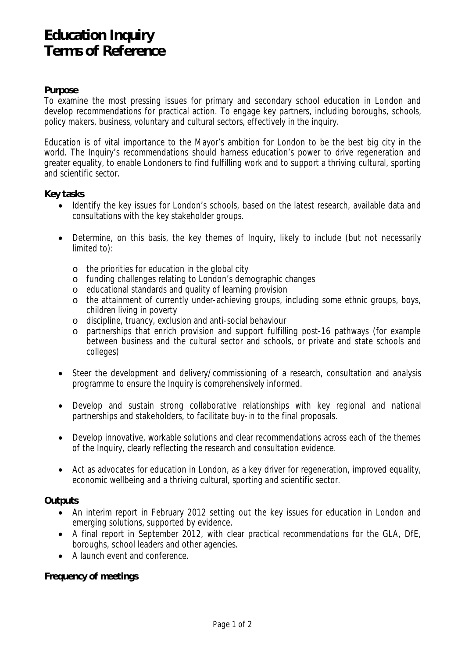# **Education Inquiry Terms of Reference**

## **Purpose**

To examine the most pressing issues for primary and secondary school education in London and develop recommendations for practical action. To engage key partners, including boroughs, schools, policy makers, business, voluntary and cultural sectors, effectively in the inquiry.

Education is of vital importance to the Mayor's ambition for London to be the best big city in the world. The Inquiry's recommendations should harness education's power to drive regeneration and greater equality, to enable Londoners to find fulfilling work and to support a thriving cultural, sporting and scientific sector.

### **Key tasks**

- Identify the key issues for London's schools, based on the latest research, available data and consultations with the key stakeholder groups.
- Determine, on this basis, the key themes of Inquiry, likely to include (but not necessarily limited to):
	- o the priorities for education in the global city
	- o funding challenges relating to London's demographic changes
	- o educational standards and quality of learning provision
	- o the attainment of currently under-achieving groups, including some ethnic groups, boys, children living in poverty
	- o discipline, truancy, exclusion and anti-social behaviour
	- o partnerships that enrich provision and support fulfilling post-16 pathways (for example between business and the cultural sector and schools, or private and state schools and colleges)
- Steer the development and delivery/commissioning of a research, consultation and analysis programme to ensure the Inquiry is comprehensively informed.
- Develop and sustain strong collaborative relationships with key regional and national partnerships and stakeholders, to facilitate buy-in to the final proposals.
- Develop innovative, workable solutions and clear recommendations across each of the themes of the Inquiry, clearly reflecting the research and consultation evidence.
- Act as advocates for education in London, as a key driver for regeneration, improved equality, economic wellbeing and a thriving cultural, sporting and scientific sector.

### **Outputs**

- An interim report in February 2012 setting out the key issues for education in London and emerging solutions, supported by evidence.
- A final report in September 2012, with clear practical recommendations for the GLA, DfE, boroughs, school leaders and other agencies.
- A launch event and conference.

### **Frequency of meetings**